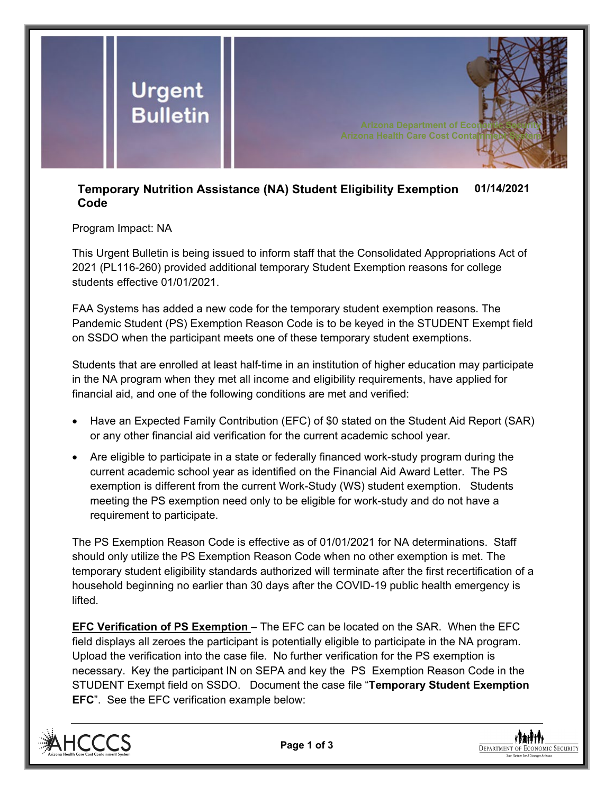

## **Temporary Nutrition Assistance (NA) Student Eligibility Exemption Code 01/14/2021**

## Program Impact: NA

This Urgent Bulletin is being issued to inform staff that the Consolidated Appropriations Act of 2021 (PL116-260) provided additional temporary Student Exemption reasons for college students effective 01/01/2021.

FAA Systems has added a new code for the temporary student exemption reasons. The Pandemic Student (PS) Exemption Reason Code is to be keyed in the STUDENT Exempt field on SSDO when the participant meets one of these temporary student exemptions.

Students that are enrolled at least half-time in an institution of higher education may participate in the NA program when they met all income and eligibility requirements, have applied for financial aid, and one of the following conditions are met and verified:

- Have an Expected Family Contribution (EFC) of \$0 stated on the Student Aid Report (SAR) or any other financial aid verification for the current academic school year.
- Are eligible to participate in a state or federally financed work-study program during the current academic school year as identified on the Financial Aid Award Letter. The PS exemption is different from the current Work-Study (WS) student exemption. Students meeting the PS exemption need only to be eligible for work-study and do not have a requirement to participate.

The PS Exemption Reason Code is effective as of 01/01/2021 for NA determinations. Staff should only utilize the PS Exemption Reason Code when no other exemption is met. The temporary student eligibility standards authorized will terminate after the first recertification of a household beginning no earlier than 30 days after the COVID-19 public health emergency is lifted.

**EFC Verification of PS Exemption** – The EFC can be located on the SAR. When the EFC field displays all zeroes the participant is potentially eligible to participate in the NA program. Upload the verification into the case file. No further verification for the PS exemption is necessary. Key the participant IN on SEPA and key the PS Exemption Reason Code in the STUDENT Exempt field on SSDO. Document the case file "**Temporary Student Exemption EFC**". See the EFC verification example below:



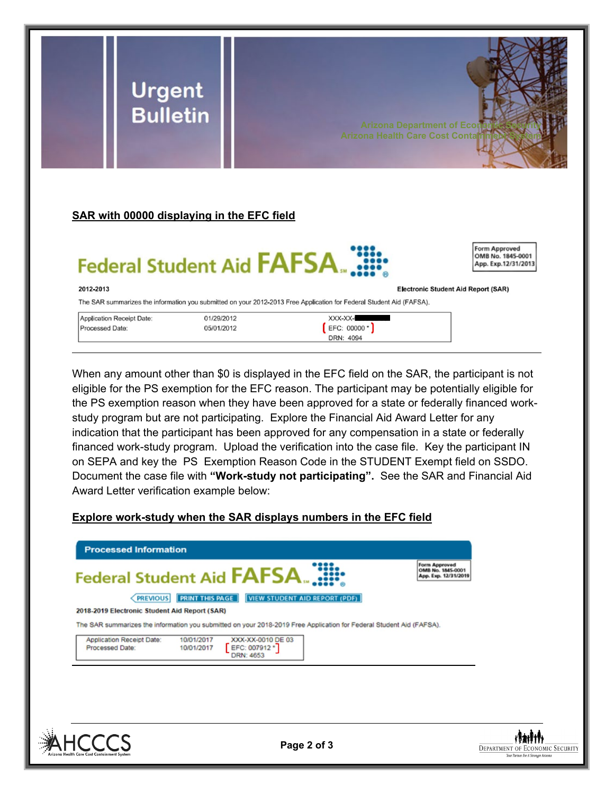

When any amount other than \$0 is displayed in the EFC field on the SAR, the participant is not eligible for the PS exemption for the EFC reason. The participant may be potentially eligible for the PS exemption reason when they have been approved for a state or federally financed workstudy program but are not participating. Explore the Financial Aid Award Letter for any indication that the participant has been approved for any compensation in a state or federally financed work-study program. Upload the verification into the case file. Key the participant IN on SEPA and key the PS Exemption Reason Code in the STUDENT Exempt field on SSDO. Document the case file with **"Work-study not participating".** See the SAR and Financial Aid Award Letter verification example below:

## **Explore work-study when the SAR displays numbers in the EFC field**